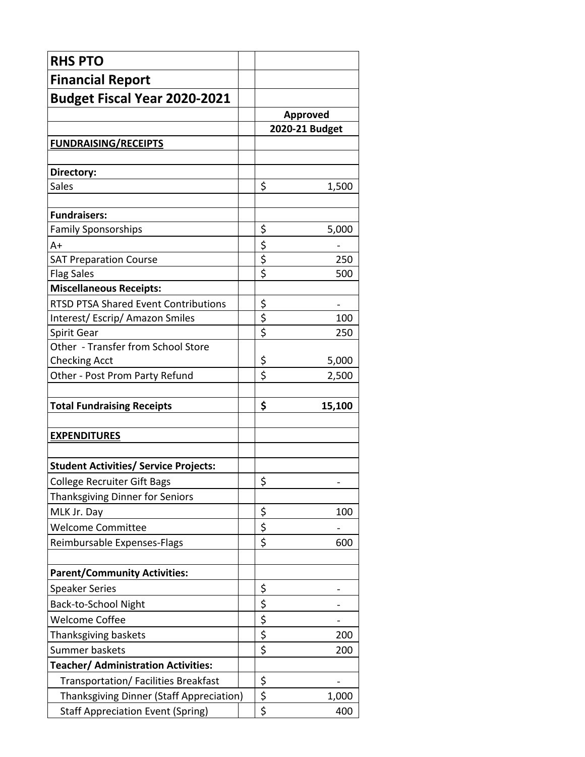| <b>RHS PTO</b>                               |                                 |                |  |
|----------------------------------------------|---------------------------------|----------------|--|
| <b>Financial Report</b>                      |                                 |                |  |
| <b>Budget Fiscal Year 2020-2021</b>          |                                 |                |  |
|                                              |                                 | Approved       |  |
|                                              |                                 | 2020-21 Budget |  |
| <b>FUNDRAISING/RECEIPTS</b>                  |                                 |                |  |
|                                              |                                 |                |  |
| Directory:                                   |                                 |                |  |
| <b>Sales</b>                                 | \$                              | 1,500          |  |
| <b>Fundraisers:</b>                          |                                 |                |  |
| <b>Family Sponsorships</b>                   | \$                              | 5,000          |  |
| A+                                           |                                 |                |  |
| <b>SAT Preparation Course</b>                | $rac{5}{5}$                     | 250            |  |
| <b>Flag Sales</b>                            | $\overline{\boldsymbol{\zeta}}$ | 500            |  |
| <b>Miscellaneous Receipts:</b>               |                                 |                |  |
| <b>RTSD PTSA Shared Event Contributions</b>  |                                 | -              |  |
| Interest/Escrip/Amazon Smiles                | $rac{5}{5}$                     | 100            |  |
| Spirit Gear                                  |                                 | 250            |  |
| Other - Transfer from School Store           |                                 |                |  |
| <b>Checking Acct</b>                         | \$                              | 5,000          |  |
| Other - Post Prom Party Refund               | \$                              | 2,500          |  |
| <b>Total Fundraising Receipts</b>            | \$                              | 15,100         |  |
| <b>EXPENDITURES</b>                          |                                 |                |  |
| <b>Student Activities/ Service Projects:</b> |                                 |                |  |
| <b>College Recruiter Gift Bags</b>           | Ş                               |                |  |
| Thanksgiving Dinner for Seniors              |                                 |                |  |
| MLK Jr. Day                                  | \$                              | 100            |  |
| <b>Welcome Committee</b>                     | \$                              |                |  |
| Reimbursable Expenses-Flags                  | \$                              | 600            |  |
| <b>Parent/Community Activities:</b>          |                                 |                |  |
| <b>Speaker Series</b>                        | \$                              |                |  |
| Back-to-School Night                         | \$                              |                |  |
| <b>Welcome Coffee</b>                        | \$                              |                |  |
| Thanksgiving baskets                         | \$                              | 200            |  |
| Summer baskets                               | \$                              | 200            |  |
| <b>Teacher/ Administration Activities:</b>   |                                 |                |  |
| Transportation/ Facilities Breakfast         | \$                              |                |  |
| Thanksgiving Dinner (Staff Appreciation)     | \$                              | 1,000          |  |
| <b>Staff Appreciation Event (Spring)</b>     | \$                              | 400            |  |
|                                              |                                 |                |  |